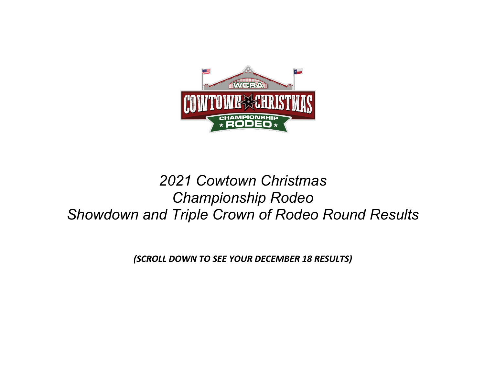

# *2021 Cowtown Christmas Championship Rodeo Showdown and Triple Crown of Rodeo Round Results*

*(SCROLL DOWN TO SEE YOUR DECEMBER 18 RESULTS)*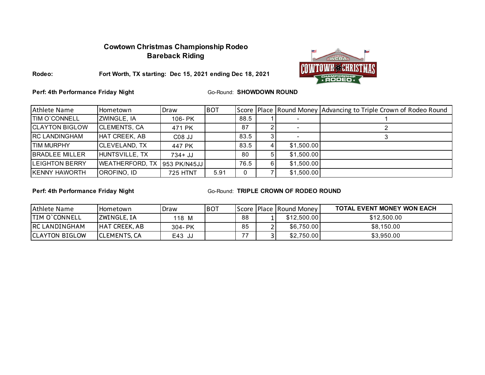## **Cowtown Christmas Championship Rodeo Bareback Riding**



**Fort Worth, TX starting: Dec 15, 2021 ending Dec 18, 2021**

**Perf: 4th Performance Friday Night** 

**Rodeo:**

**Go-Round: SHOWDOWN ROUND** 

| Athlete Name           | Hometown               | Draw            | <b>BOT</b> |      |    |            | Score   Place   Round Money   Advancing to Triple Crown of Rodeo Round |
|------------------------|------------------------|-----------------|------------|------|----|------------|------------------------------------------------------------------------|
| <b>TIM O'CONNELL</b>   | ZWINGLE, IA            | 106- PK         |            | 88.5 |    |            |                                                                        |
| <b>ICLAYTON BIGLOW</b> | <b>CLEMENTS, CA</b>    | 471 PK          |            | 87   |    |            |                                                                        |
| <b>IRC LANDINGHAM</b>  | HAT CREEK, AB          | C08 JJ          |            | 83.5 |    |            |                                                                        |
| <b>TIM MURPHY</b>      | <b>CLEVELAND, TX</b>   | 447 PK          |            | 83.5 |    | \$1,500.00 |                                                                        |
| <b>BRADLEE MILLER</b>  | HUNTSVILLE, TX         | $734 + JJ$      |            | 80   |    | \$1,500.00 |                                                                        |
| <b>LEIGHTON BERRY</b>  | <b>WEATHERFORD, TX</b> | 953 PK/N45JJ    |            | 76.5 | 6. | \$1,500.00 |                                                                        |
| <b>KENNY HAWORTH</b>   | OROFINO, ID            | <b>725 HTNT</b> | 5.91       | 0    |    | \$1,500.00 |                                                                        |

**Perf: 4th Performance Friday Night**

| Athlete Name           | l Hometown           | Draw        | <b>BOT</b> |    | Score   Place   Round Money | <b>TOTAL EVENT MONEY WON EACH</b> |
|------------------------|----------------------|-------------|------------|----|-----------------------------|-----------------------------------|
| <b>ITIM O'CONNELL</b>  | <b>ZWINGLE, IA</b>   | 118 M       |            | 88 | \$12,500.00                 | \$12,500.00                       |
| <b>RC LANDINGHAM</b>   | <b>HAT CREEK, AB</b> | $304 - PK$  |            | 85 | \$6,750.00                  | \$8,150.00                        |
| <b>ICLAYTON BIGLOW</b> | <b>ICLEMENTS, CA</b> | E43.<br>ັບປ |            |    | \$2,750.00                  | \$3.950.00                        |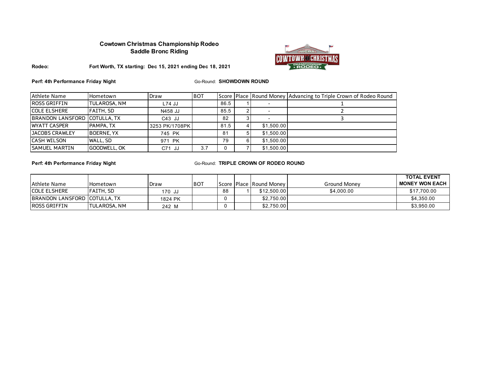### **Cowtown Christmas Championship Rodeo Saddle Bronc Riding**



#### **Rodeo: Fort Worth, TX starting: Dec 15, 2021 ending Dec 18, 2021**

**Perf: 4th Performance Friday Night**

Go-Round: **SHOWDOWN ROUND**

| Athlete Name                 | Hometown            | Draw           | <b>BOT</b> |      |            | Score   Place   Round Money   Advancing to Triple Crown of Rodeo Round |
|------------------------------|---------------------|----------------|------------|------|------------|------------------------------------------------------------------------|
| <b>ROSS GRIFFIN</b>          | <b>TULAROSA, NM</b> | L74 JJ         |            | 86.5 |            |                                                                        |
| <b>ICOLE ELSHERE</b>         | FAITH, SD           | N458 JJ        |            | 85.5 |            |                                                                        |
| BRANDON LANSFORD COTULLA, TX |                     | $C43$ JJ       |            | 82   |            |                                                                        |
| <b>WYATT CASPER</b>          | PAMPA, TX           | 3253 PK/1708PK |            | 81.5 | \$1.500.00 |                                                                        |
| <b>JACOBS CRAWLEY</b>        | <b>BOERNE, YX</b>   | 745 PK         |            | 81   | \$1.500.00 |                                                                        |
| <b>CASH WILSON</b>           | WALL, SD            | 971 PK         |            | 79   | \$1,500.00 |                                                                        |
| <b>SAMUEL MARTIN</b>         | GOODWELL, OK        | $C71$ JJ       | 3.7        | 0    | \$1.500.00 |                                                                        |

**Perf: 4th Performance Friday Night**

|                                       |                      |         |             |    |                                     |              | <b>TOTAL EVENT</b> |
|---------------------------------------|----------------------|---------|-------------|----|-------------------------------------|--------------|--------------------|
| Athlete Name                          | <b>Hometown</b>      | Draw    | <b>IBOT</b> |    | <b>IScore IPlace IRound Money I</b> | Ground Money | I MONEY WON EACH   |
| <b>ICOLE ELSHERE</b>                  | <b>IFAITH. SD</b>    | 170 JJ  |             | 88 | \$12,500.00                         | \$4,000.00   | \$17,700.00        |
| <b>IBRANDON LANSFORD ICOTULLA. TX</b> |                      | 1824 PK |             |    | \$2,750.00                          |              | \$4,350.00         |
| <b>IROSS GRIFFIN</b>                  | <b>ITULAROSA, NM</b> | 242 M   |             |    | \$2,750.00                          |              | \$3,950.00         |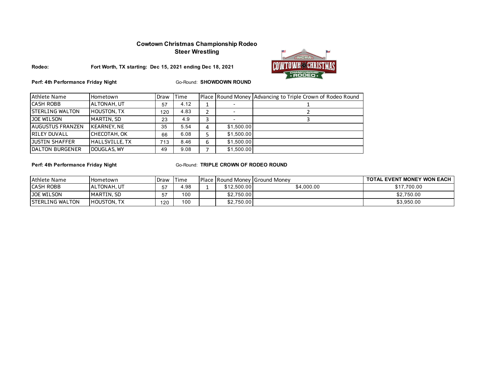### **Cowtown Christmas Championship Rodeo Steer Wrestling**



**Fort Worth, TX starting: Dec 15, 2021 ending Dec 18, 2021**



**Perf: 4th Performance Friday Night**

Go-Round: **SHOWDOWN ROUND**

| <b>Athlete Name</b>     | Hometown              | Draw | Time |   |            | Place Round Money Advancing to Triple Crown of Rodeo Round |
|-------------------------|-----------------------|------|------|---|------------|------------------------------------------------------------|
| <b>CASH ROBB</b>        | ALTONAH, UT           | 57   | 4.12 |   |            |                                                            |
| <b>STERLING WALTON</b>  | <b>HOUSTON, TX</b>    | 120  | 4.83 |   |            |                                                            |
| JOE WILSON              | MARTIN, SD            | 23   | 4.9  |   |            |                                                            |
| <b>AUGUSTUS FRANZEN</b> | <b>KEARNEY, NE</b>    | 35   | 5.54 | 4 | \$1.500.00 |                                                            |
| <b>RILEY DUVALL</b>     | CHECOTAH, OK          | 66   | 6.08 |   | \$1.500.00 |                                                            |
| JUSTIN SHAFFER          | <b>HALLSVILLE, TX</b> | 713  | 8.46 | 6 | \$1.500.00 |                                                            |
| DALTON BURGENER         | DOUGLAS, WY           | 49   | 9.08 |   | \$1,500.00 |                                                            |

**Perf: 4th Performance Friday Night**

| Athlete Name            | l Hometown         | Draw | Time |             | <b>IPlace IRound Money IGround Money</b> | TOTAL EVENT MONEY WON EACH |
|-------------------------|--------------------|------|------|-------------|------------------------------------------|----------------------------|
| <b>ICASH ROBB</b>       | ALTONAH, UT        | 57   | 4.98 | \$12,500.00 | \$4.000.00                               | \$17.700.00                |
| <b>JOE WILSON</b>       | MARTIN, SD         | --   | 100  | \$2,750.00  |                                          | \$2.750.00                 |
| <b>ISTERLING WALTON</b> | <b>HOUSTON, TX</b> | 120  | 100  | \$2,750.00  |                                          | \$3,950.00                 |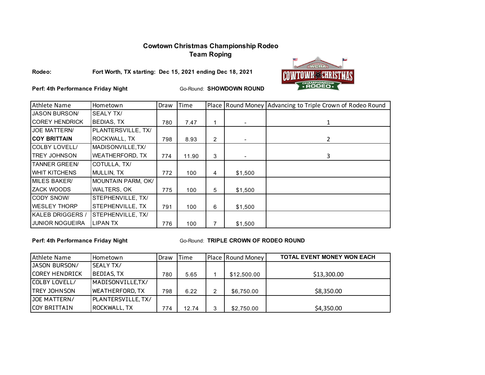## **Cowtown Christmas Championship Rodeo Team Roping**

#### **Rodeo:**

**Fort Worth, TX starting: Dec 15, 2021 ending Dec 18, 2021**



**Perf: 4th Performance Friday Night**

Go-Round: **SHOWDOWN ROUND**

| Athlete Name            | Hometown                | Draw | Time  |                |                          | Place Round Money Advancing to Triple Crown of Rodeo Round |
|-------------------------|-------------------------|------|-------|----------------|--------------------------|------------------------------------------------------------|
| <b>JASON BURSON/</b>    | <b>SEALY TX/</b>        |      |       |                |                          |                                                            |
| <b>COREY HENDRICK</b>   | <b>BEDIAS, TX</b>       | 780  | 7.47  | 1              |                          | 1                                                          |
| <b>JOE MATTERN/</b>     | PLANTERSVILLE, TX/      |      |       |                |                          |                                                            |
| <b>COY BRITTAIN</b>     | ROCKWALL, TX            | 798  | 8.93  | $\overline{2}$ | ٠                        | $\mathbf{2}^{\prime}$                                      |
| <b>COLBY LOVELL/</b>    | MADISONVILLE.TX/        |      |       |                |                          |                                                            |
| <b>TREY JOHNSON</b>     | <b>WEATHERFORD, TX</b>  | 774  | 11.90 | 3              | $\overline{\phantom{a}}$ | 3                                                          |
| <b>TANNER GREEN/</b>    | COTULLA, TX/            |      |       |                |                          |                                                            |
| <b>WHIT KITCHENS</b>    | MULLIN, TX              | 772  | 100   | 4              | \$1,500                  |                                                            |
| MILES BAKER/            | MOUNTAIN PARM, OK/      |      |       |                |                          |                                                            |
| <b>ZACK WOODS</b>       | <b>WALTERS, OK</b>      | 775  | 100   | 5              | \$1,500                  |                                                            |
| <b>CODY SNOW</b>        | STEPHENVILLE, TX/       |      |       |                |                          |                                                            |
| <b>WESLEY THORP</b>     | <b>STEPHENVILLE, TX</b> | 791  | 100   | 6              | \$1,500                  |                                                            |
| <b>KALEB DRIGGERS /</b> | STEPHENVILLE, TX/       |      |       |                |                          |                                                            |
| <b>JUNIOR NOGUEIRA</b>  | LIPAN TX                | 776  | 100   | 7              | \$1,500                  |                                                            |

**Perf: 4th Performance Friday Night**

| Athlete Name          | Hometown               | Draw | Time  |   | Place Round Money | <b>TOTAL EVENT MONEY WON EACH</b> |
|-----------------------|------------------------|------|-------|---|-------------------|-----------------------------------|
| JASON BURSON/         | <b>SEALY TX/</b>       |      |       |   |                   |                                   |
| <b>COREY HENDRICK</b> | <b>BEDIAS, TX</b>      | 780  | 5.65  |   | \$12,500.00       | \$13,300.00                       |
| COLBY LOVELL/         | MADISONVILLE,TX/       |      |       |   |                   |                                   |
| <b>TREY JOHNSON</b>   | <b>WEATHERFORD, TX</b> | 798  | 6.22  | 2 | \$6,750.00        | \$8,350.00                        |
| JOE MATTERN/          | PLANTERSVILLE, TX/     |      |       |   |                   |                                   |
| <b>COY BRITTAIN</b>   | <b>ROCKWALL, TX</b>    | 774  | 12.74 | 3 | \$2.750.00        | \$4,350.00                        |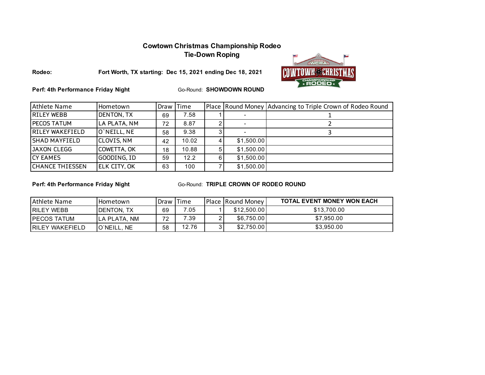## **Cowtown Christmas Championship Rodeo**

**Tie-Down Roping**



**Rodeo:**

**Fort Worth, TX starting: Dec 15, 2021 ending Dec 18, 2021**

**Perf: 4th Performance Friday Night**

Go-Round: **SHOWDOWN ROUND**

| Athlete Name           | Hometown            | Draw Time |       |            | Place Round Money Advancing to Triple Crown of Rodeo Round |
|------------------------|---------------------|-----------|-------|------------|------------------------------------------------------------|
| <b>RILEY WEBB</b>      | DENTON, TX          | 69        | 7.58  |            |                                                            |
| <b>PECOS TATUM</b>     | LA PLATA, NM        | 72        | 8.87  |            |                                                            |
| <b>RILEY WAKEFIELD</b> | O'NEILL, NE         | 58        | 9.38  |            |                                                            |
| <b>SHAD MAYFIELD</b>   | <b>CLOVIS, NM</b>   | 42        | 10.02 | \$1,500.00 |                                                            |
| <b>JAXON CLEGG</b>     | <b>COWETTA, OK</b>  | 18        | 10.88 | \$1,500.00 |                                                            |
| <b>CY EAMES</b>        | GOODING, ID         | 59        | 12.2  | \$1,500.00 |                                                            |
| <b>CHANCE THIESSEN</b> | <b>ELK CITY, OK</b> | 63        | 100   | \$1,500.00 |                                                            |

**Perf: 4th Performance Friday Night**

| Athlete Name      | <b>I</b> Hometown       | Draw | <b>Time</b> | <b>Place Round Money</b> | <b>TOTAL EVENT MONEY WON EACH</b> |
|-------------------|-------------------------|------|-------------|--------------------------|-----------------------------------|
| <b>RILEY WEBB</b> | <b>IDENTON, TX</b>      | 69   | 7.05        | \$12,500,00              | \$13,700.00                       |
| IPECOS TATUM      | ILA PLATA. NM           | 70   | 7.39        | \$6,750.00               | \$7.950.00                        |
| IRILEY WAKEFIELD  | <b>IO'NEILL</b><br>. NE | 58   | 12.76       | \$2,750.00               | \$3,950.00                        |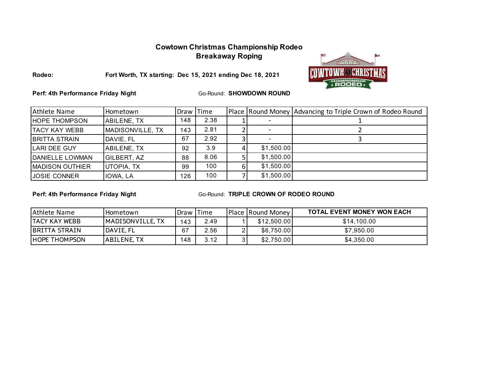## **Cowtown Christmas Championship Rodeo Breakaway Roping**



**Rodeo:**

**Fort Worth, TX starting: Dec 15, 2021 ending Dec 18, 2021**

**Perf: 4th Performance Friday Night**

Go-Round: **SHOWDOWN ROUND**

| Athlete Name            | Hometown         | Draw Time |      |    |            | Place Round Money Advancing to Triple Crown of Rodeo Round |
|-------------------------|------------------|-----------|------|----|------------|------------------------------------------------------------|
| <b>HOPE THOMPSON</b>    | ABILENE, TX      | 148       | 2.38 |    |            |                                                            |
| <b>TACY KAY WEBB</b>    | MADISONVILLE, TX | 143       | 2.81 |    |            |                                                            |
| <b>BRITTA STRAIN</b>    | DAVIE, FL        | 67        | 2.92 |    |            |                                                            |
| LARI DEE GUY            | ABILENE, TX      | 92        | 3.9  |    | \$1,500.00 |                                                            |
| <b>IDANIELLE LOWMAN</b> | GILBERT, AZ      | 88        | 8.06 |    | \$1,500.00 |                                                            |
| <b>MADISON OUTHIER</b>  | UTOPIA, TX       | 99        | 100  | 6. | \$1,500.00 |                                                            |
| <b>JOSIE CONNER</b>     | IOWA, LA         | 126       | 100  |    | \$1,500.00 |                                                            |

**Perf: 4th Performance Friday Night**

| Athlete Name          | I Hometown               | <b>IDraw</b> Time |      | <b>Place Round Money</b> | <b>TOTAL EVENT MONEY WON EACH</b> |
|-----------------------|--------------------------|-------------------|------|--------------------------|-----------------------------------|
| <b>TACY KAY WEBB</b>  | <b>IMADISONVILLE, TX</b> | 43                | 2.49 | \$12,500.00              | \$14,100.00                       |
| <b>IBRITTA STRAIN</b> | <b>IDAVIE, FL</b>        | 67                | 2.56 | \$6,750.00               | \$7,950.00                        |
| <b>IHOPE THOMPSON</b> | <b>JABILENE, TX</b>      | 148               | 3.12 | \$2,750.00               | \$4,350.00                        |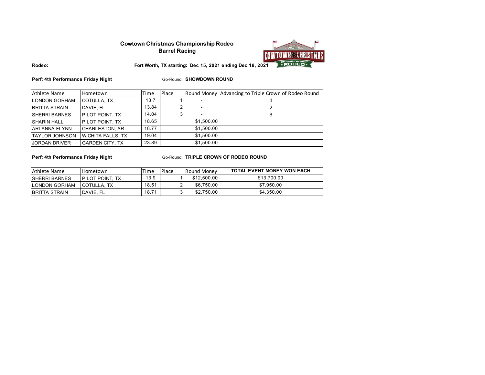#### **Cowtown Christmas Championship Rodeo Barrel Racing**



**Rodeo:**

**Fort Worth, TX starting: Dec 15, 2021 ending Dec 18, 2021**

**Perf: 4th Performance Friday Night**

Go-Round: **SHOWDOWN ROUND**

| Athlete Name           | Hometown                 | Time  | Place |            | Round Money Advancing to Triple Crown of Rodeo Round |
|------------------------|--------------------------|-------|-------|------------|------------------------------------------------------|
| <b>LONDON GORHAM</b>   | COTULLA, TX              | 13.7  |       |            |                                                      |
| <b>BRITTA STRAIN</b>   | DAVIE, FL                | 13.84 |       |            |                                                      |
| <b>ISHERRI BARNES</b>  | <b>PILOT POINT. TX</b>   | 14.04 |       |            |                                                      |
| <b>SHARIN HALL</b>     | <b>PILOT POINT. TX</b>   | 18.65 |       | \$1.500.00 |                                                      |
| <b>ARI-ANNA FLYNN</b>  | <b>CHARLESTON, AR</b>    | 18.77 |       | \$1.500.00 |                                                      |
| <b>ITAYLOR JOHNSON</b> | <b>WICHITA FALLS, TX</b> | 19.04 |       | \$1.500.00 |                                                      |
| <b>JORDAN DRIVER</b>   | <b>GARDEN CITY. TX</b>   | 23.89 |       | \$1.500.00 |                                                      |

**Perf: 4th Performance Friday Night**

| Athlete Name         | Hometown                | Time  | Place | Round Money | <b>TOTAL EVENT MONEY WON EACH</b> |
|----------------------|-------------------------|-------|-------|-------------|-----------------------------------|
| ISHERRI BARNES       | <b>IPILOT POINT. TX</b> | 13.9  |       | \$12.500.00 | \$13,700.00                       |
| <b>LONDON GORHAM</b> | <b>ICOTULLA. TX</b>     | 18.51 |       | \$6.750.00  | \$7.950.00                        |
| IBRITTA STRAIN       | <b>IDAVIE, FL</b>       | 18.71 |       | \$2,750.00  | \$4,350.00                        |